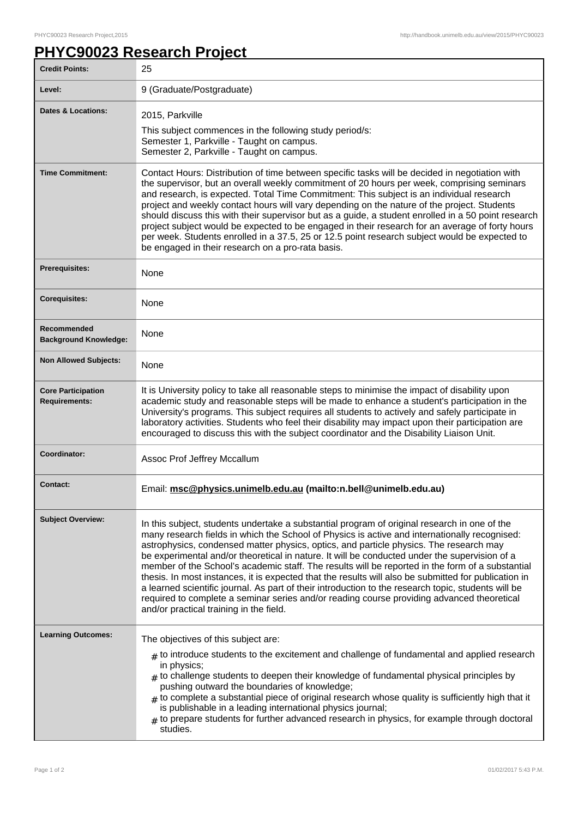٦

## **PHYC90023 Research Project**

| <b>Credit Points:</b>                             | 25                                                                                                                                                                                                                                                                                                                                                                                                                                                                                                                                                                                                                                                                                                                                                                                                                                                   |
|---------------------------------------------------|------------------------------------------------------------------------------------------------------------------------------------------------------------------------------------------------------------------------------------------------------------------------------------------------------------------------------------------------------------------------------------------------------------------------------------------------------------------------------------------------------------------------------------------------------------------------------------------------------------------------------------------------------------------------------------------------------------------------------------------------------------------------------------------------------------------------------------------------------|
| Level:                                            | 9 (Graduate/Postgraduate)                                                                                                                                                                                                                                                                                                                                                                                                                                                                                                                                                                                                                                                                                                                                                                                                                            |
| <b>Dates &amp; Locations:</b>                     | 2015, Parkville<br>This subject commences in the following study period/s:<br>Semester 1, Parkville - Taught on campus.<br>Semester 2, Parkville - Taught on campus.                                                                                                                                                                                                                                                                                                                                                                                                                                                                                                                                                                                                                                                                                 |
| <b>Time Commitment:</b>                           | Contact Hours: Distribution of time between specific tasks will be decided in negotiation with<br>the supervisor, but an overall weekly commitment of 20 hours per week, comprising seminars<br>and research, is expected. Total Time Commitment: This subject is an individual research<br>project and weekly contact hours will vary depending on the nature of the project. Students<br>should discuss this with their supervisor but as a guide, a student enrolled in a 50 point research<br>project subject would be expected to be engaged in their research for an average of forty hours<br>per week. Students enrolled in a 37.5, 25 or 12.5 point research subject would be expected to<br>be engaged in their research on a pro-rata basis.                                                                                              |
| Prerequisites:                                    | None                                                                                                                                                                                                                                                                                                                                                                                                                                                                                                                                                                                                                                                                                                                                                                                                                                                 |
| <b>Corequisites:</b>                              | None                                                                                                                                                                                                                                                                                                                                                                                                                                                                                                                                                                                                                                                                                                                                                                                                                                                 |
| Recommended<br><b>Background Knowledge:</b>       | None                                                                                                                                                                                                                                                                                                                                                                                                                                                                                                                                                                                                                                                                                                                                                                                                                                                 |
| <b>Non Allowed Subjects:</b>                      | None                                                                                                                                                                                                                                                                                                                                                                                                                                                                                                                                                                                                                                                                                                                                                                                                                                                 |
| <b>Core Participation</b><br><b>Requirements:</b> | It is University policy to take all reasonable steps to minimise the impact of disability upon<br>academic study and reasonable steps will be made to enhance a student's participation in the<br>University's programs. This subject requires all students to actively and safely participate in<br>laboratory activities. Students who feel their disability may impact upon their participation are<br>encouraged to discuss this with the subject coordinator and the Disability Liaison Unit.                                                                                                                                                                                                                                                                                                                                                   |
| Coordinator:                                      | Assoc Prof Jeffrey Mccallum                                                                                                                                                                                                                                                                                                                                                                                                                                                                                                                                                                                                                                                                                                                                                                                                                          |
| <b>Contact:</b>                                   | Email: msc@physics.unimelb.edu.au (mailto:n.bell@unimelb.edu.au)                                                                                                                                                                                                                                                                                                                                                                                                                                                                                                                                                                                                                                                                                                                                                                                     |
| <b>Subject Overview:</b>                          | In this subject, students undertake a substantial program of original research in one of the<br>many research fields in which the School of Physics is active and internationally recognised:<br>astrophysics, condensed matter physics, optics, and particle physics. The research may<br>be experimental and/or theoretical in nature. It will be conducted under the supervision of a<br>member of the School's academic staff. The results will be reported in the form of a substantial<br>thesis. In most instances, it is expected that the results will also be submitted for publication in<br>a learned scientific journal. As part of their introduction to the research topic, students will be<br>required to complete a seminar series and/or reading course providing advanced theoretical<br>and/or practical training in the field. |
| <b>Learning Outcomes:</b>                         | The objectives of this subject are:                                                                                                                                                                                                                                                                                                                                                                                                                                                                                                                                                                                                                                                                                                                                                                                                                  |
|                                                   | $*$ to introduce students to the excitement and challenge of fundamental and applied research<br>in physics;<br>$*$ to challenge students to deepen their knowledge of fundamental physical principles by<br>pushing outward the boundaries of knowledge;<br>$#$ to complete a substantial piece of original research whose quality is sufficiently high that it<br>is publishable in a leading international physics journal;<br>$#$ to prepare students for further advanced research in physics, for example through doctoral<br>studies.                                                                                                                                                                                                                                                                                                         |